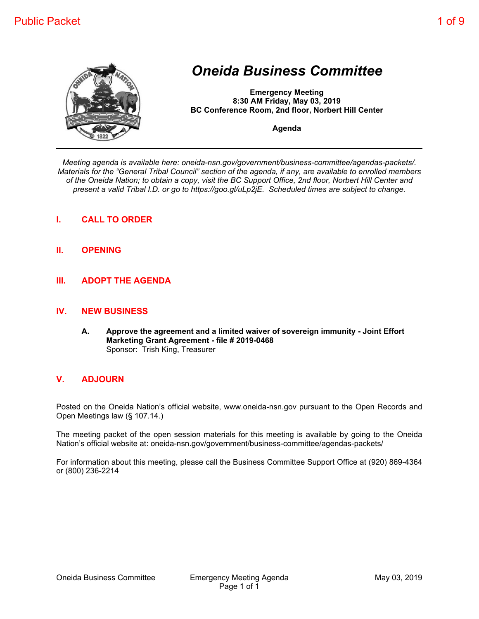

# *Oneida Business Committee*

**Emergency Meeting 8:30 AM Friday, May 03, 2019 BC Conference Room, 2nd floor, Norbert Hill Center**

**Agenda**

*Meeting agenda is available here: oneida-nsn.gov/government/business-committee/agendas-packets/. Materials for the "General Tribal Council" section of the agenda, if any, are available to enrolled members of the Oneida Nation; to obtain a copy, visit the BC Support Office, 2nd floor, Norbert Hill Center and present a valid Tribal I.D. or go to https://goo.gl/uLp2jE. Scheduled times are subject to change.*

- **I. CALL TO ORDER**
- **II. OPENING**
- **III. ADOPT THE AGENDA**

#### **IV. NEW BUSINESS**

**A. Approve the agreement and a limited waiver of sovereign immunity - Joint Effort Marketing Grant Agreement - file # 2019-0468** Sponsor: Trish King, Treasurer

#### **V. ADJOURN**

Posted on the Oneida Nation's official website, www.oneida-nsn.gov pursuant to the Open Records and Open Meetings law (§ 107.14.)

The meeting packet of the open session materials for this meeting is available by going to the Oneida Nation's official website at: oneida-nsn.gov/government/business-committee/agendas-packets/

For information about this meeting, please call the Business Committee Support Office at (920) 869-4364 or (800) 236-2214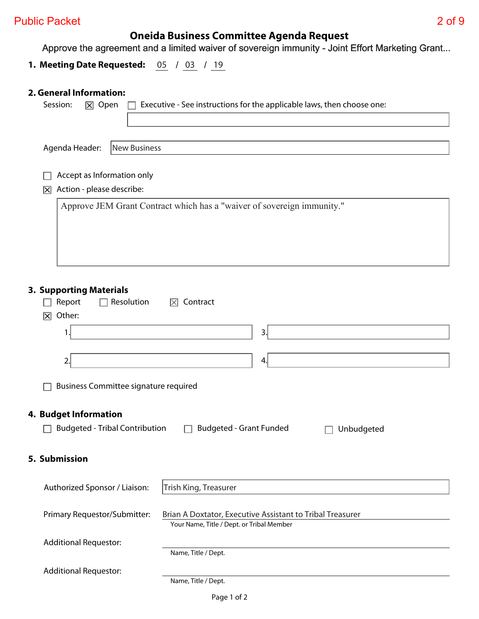## **Oneida Business Committee Agenda Request**

Approve the agreement and a limited waiver of sovereign immunity - Joint Effort Marketing Grant...

**1. Meeting Date Requested:** 05 / 03 / 19

## **2. General Information:**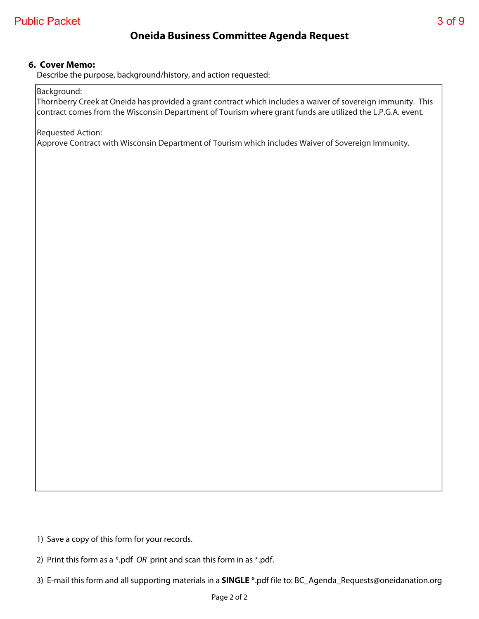## **6. Cover Memo:**

Describe the purpose, background/history, and action requested:

Background:

Thornberry Creek at Oneida has provided a grant contract which includes a waiver of sovereign immunity. This contract comes from the Wisconsin Department of Tourism where grant funds are utilized the L.P.G.A. event.

Requested Action:

Approve Contract with Wisconsin Department of Tourism which includes Waiver of Sovereign Immunity.

1) Save a copy of this form for your records.

2) Print this form as a \*.pdf OR print and scan this form in as \*.pdf.

3) E-mail this form and all supporting materials in a **SINGLE** \*.pdf file to: BC\_Agenda\_Requests@oneidanation.org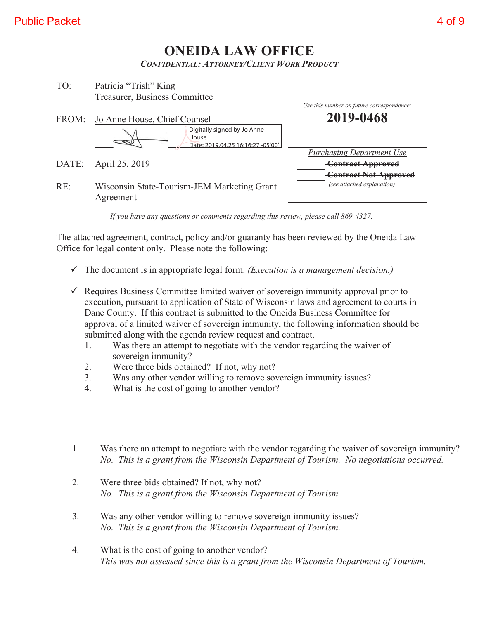## **ONEIDA LAW OFFICE**  *CONFIDENTIAL: ATTORNEY/CLIENT WORK PRODUCT*

| TO: | Patricia "Trish" King         |  |  |
|-----|-------------------------------|--|--|
|     | Treasurer, Business Committee |  |  |

|     |                                                                           | Use this number on future correspondence:                                                    |
|-----|---------------------------------------------------------------------------|----------------------------------------------------------------------------------------------|
|     | FROM: Jo Anne House, Chief Counsel                                        | 2019-0468                                                                                    |
|     | Digitally signed by Jo Anne<br>House<br>Date: 2019.04.25 16:16:27 -05'00' |                                                                                              |
|     | DATE: April 25, 2019                                                      | <b>Purchasing Department Use</b><br><b>Contract Approved</b><br><b>Contract Not Approved</b> |
| RE: | Wisconsin State-Tourism-JEM Marketing Grant<br>Agreement                  | (see attached explanation)                                                                   |

*If you have any questions or comments regarding this review, please call 869-4327.* 

The attached agreement, contract, policy and/or guaranty has been reviewed by the Oneida Law Office for legal content only. Please note the following:

- $\checkmark$  The document is in appropriate legal form. *(Execution is a management decision.)*
- $\checkmark$  Requires Business Committee limited waiver of sovereign immunity approval prior to execution, pursuant to application of State of Wisconsin laws and agreement to courts in Dane County. If this contract is submitted to the Oneida Business Committee for approval of a limited waiver of sovereign immunity, the following information should be submitted along with the agenda review request and contract.
	- 1. Was there an attempt to negotiate with the vendor regarding the waiver of sovereign immunity?
	- 2. Were three bids obtained? If not, why not?
	- 3. Was any other vendor willing to remove sovereign immunity issues?
	- 4. What is the cost of going to another vendor?
- 1. Was there an attempt to negotiate with the vendor regarding the waiver of sovereign immunity?  *No. This is a grant from the Wisconsin Department of Tourism. No negotiations occurred.*
- 2. Were three bids obtained? If not, why not?  *No. This is a grant from the Wisconsin Department of Tourism.*
- 3. Was any other vendor willing to remove sovereign immunity issues?  *No. This is a grant from the Wisconsin Department of Tourism.*
- 4. What is the cost of going to another vendor?  *This was not assessed since this is a grant from the Wisconsin Department of Tourism.*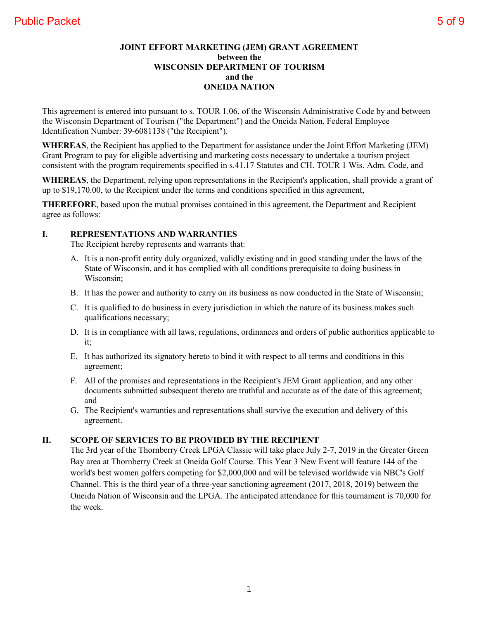This agreement is entered into pursuant to s. TOUR 1.06, of the Wisconsin Administrative Code by and between the Wisconsin Department of Tourism ("the Department") and the Oneida Nation, Federal Employee Identification Number: 39-6081138 ("the Recipient").

**WHEREAS**, the Recipient has applied to the Department for assistance under the Joint Effort Marketing (JEM) Grant Program to pay for eligible advertising and marketing costs necessary to undertake a tourism project consistent with the program requirements specified in s.41.17 Statutes and CH. TOUR 1 Wis. Adm. Code, and

**WHEREAS**, the Department, relying upon representations in the Recipient's application, shall provide a grant of up to \$19,170.00, to the Recipient under the terms and conditions specified in this agreement,

**THEREFORE**, based upon the mutual promises contained in this agreement, the Department and Recipient agree as follows:

### **I. REPRESENTATIONS AND WARRANTIES**

The Recipient hereby represents and warrants that:

- A. It is a non-profit entity duly organized, validly existing and in good standing under the laws of the State of Wisconsin, and it has complied with all conditions prerequisite to doing business in Wisconsin;
- B. It has the power and authority to carry on its business as now conducted in the State of Wisconsin;
- C. It is qualified to do business in every jurisdiction in which the nature of its business makes such qualifications necessary;
- D. It is in compliance with all laws, regulations, ordinances and orders of public authorities applicable to it;
- E. It has authorized its signatory hereto to bind it with respect to all terms and conditions in this agreement;
- F. All of the promises and representations in the Recipient's JEM Grant application, and any other documents submitted subsequent thereto are truthful and accurate as of the date of this agreement; and
- G. The Recipient's warranties and representations shall survive the execution and delivery of this agreement.

## **II. SCOPE OF SERVICES TO BE PROVIDED BY THE RECIPIENT**

The 3rd year of the Thornberry Creek LPGA Classic will take place July 2-7, 2019 in the Greater Green Bay area at Thornberry Creek at Oneida Golf Course. This Year 3 New Event will feature 144 of the world's best women golfers competing for \$2,000,000 and will be televised worldwide via NBC's Golf Channel. This is the third year of a three-year sanctioning agreement (2017, 2018, 2019) between the Oneida Nation of Wisconsin and the LPGA. The anticipated attendance for this tournament is 70,000 for the week.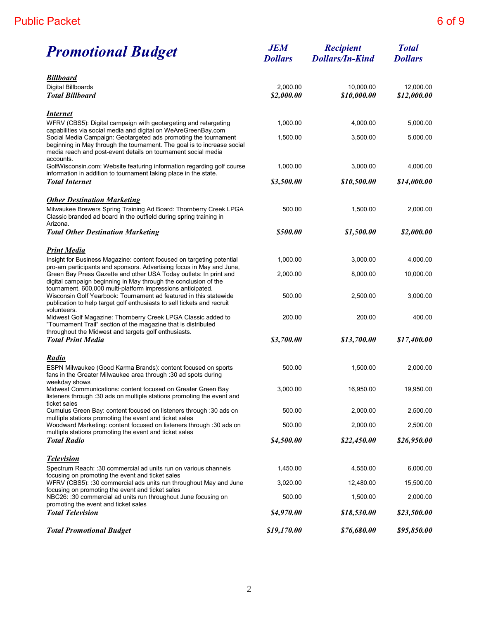| <b>Promotional Budget</b>                                                                                                                                                                                                                                                     | <b>JEM</b><br><b>Dollars</b> | <b>Recipient</b><br><b>Dollars/In-Kind</b> | <b>Total</b><br><b>Dollars</b> |
|-------------------------------------------------------------------------------------------------------------------------------------------------------------------------------------------------------------------------------------------------------------------------------|------------------------------|--------------------------------------------|--------------------------------|
| <b>Billboard</b><br>Digital Billboards<br><b>Total Billboard</b>                                                                                                                                                                                                              | 2,000.00<br>\$2,000.00       | 10.000.00<br>\$10,000.00                   | 12,000.00<br>\$12,000.00       |
| <u>Internet</u><br>WFRV (CBS5): Digital campaign with geotargeting and retargeting                                                                                                                                                                                            | 1,000.00                     | 4,000.00                                   | 5,000.00                       |
| capabilities via social media and digital on WeAreGreenBay.com<br>Social Media Campaign: Geotargeted ads promoting the tournament<br>beginning in May through the tournament. The goal is to increase social<br>media reach and post-event details on tournament social media | 1,500.00                     | 3,500.00                                   | 5,000.00                       |
| accounts.<br>GolfWisconsin.com: Website featuring information regarding golf course<br>information in addition to tournament taking place in the state.                                                                                                                       | 1,000.00                     | 3,000.00                                   | 4,000.00                       |
| <b>Total Internet</b>                                                                                                                                                                                                                                                         | \$3,500.00                   | \$10,500.00                                | \$14,000.00                    |
| <b>Other Destination Marketing</b><br>Milwaukee Brewers Spring Training Ad Board: Thornberry Creek LPGA<br>Classic branded ad board in the outfield during spring training in                                                                                                 | 500.00                       | 1,500.00                                   | 2,000.00                       |
| Arizona.<br><b>Total Other Destination Marketing</b>                                                                                                                                                                                                                          | \$500.00                     | \$1,500.00                                 | \$2,000.00                     |
| <u> Print Media</u>                                                                                                                                                                                                                                                           |                              |                                            |                                |
| Insight for Business Magazine: content focused on targeting potential<br>pro-am participants and sponsors. Advertising focus in May and June,                                                                                                                                 | 1,000.00                     | 3,000.00                                   | 4,000.00                       |
| Green Bay Press Gazette and other USA Today outlets: In print and<br>digital campaign beginning in May through the conclusion of the                                                                                                                                          | 2,000.00                     | 8,000.00                                   | 10,000.00                      |
| tournament. 600,000 multi-platform impressions anticipated.<br>Wisconsin Golf Yearbook: Tournament ad featured in this statewide<br>publication to help target golf enthusiasts to sell tickets and recruit                                                                   | 500.00                       | 2,500.00                                   | 3,000.00                       |
| volunteers.<br>Midwest Golf Magazine: Thornberry Creek LPGA Classic added to<br>"Tournament Trail" section of the magazine that is distributed<br>throughout the Midwest and targets golf enthusiasts.                                                                        | 200.00                       | 200.00                                     | 400.00                         |
| <b>Total Print Media</b>                                                                                                                                                                                                                                                      | \$3,700.00                   | \$13,700.00                                | \$17,400.00                    |
| <u>Radio</u><br>ESPN Milwaukee (Good Karma Brands): content focused on sports<br>fans in the Greater Milwaukee area through :30 ad spots during                                                                                                                               | 500.00                       | 1,500.00                                   | 2,000.00                       |
| weekday shows<br>Midwest Communications: content focused on Greater Green Bay<br>listeners through :30 ads on multiple stations promoting the event and                                                                                                                       | 3,000.00                     | 16,950.00                                  | 19,950.00                      |
| ticket sales<br>Cumulus Green Bay: content focused on listeners through :30 ads on                                                                                                                                                                                            | 500.00                       | 2,000.00                                   | 2,500.00                       |
| multiple stations promoting the event and ticket sales<br>Woodward Marketing: content focused on listeners through :30 ads on                                                                                                                                                 | 500.00                       | 2,000.00                                   | 2,500.00                       |
| multiple stations promoting the event and ticket sales<br><b>Total Radio</b>                                                                                                                                                                                                  | \$4,500.00                   | \$22,450.00                                | \$26,950.00                    |
| <b>Television</b>                                                                                                                                                                                                                                                             |                              |                                            |                                |
| Spectrum Reach: :30 commercial ad units run on various channels<br>focusing on promoting the event and ticket sales                                                                                                                                                           | 1,450.00                     | 4,550.00                                   | 6,000.00                       |
| WFRV (CBS5): :30 commercial ads units run throughout May and June<br>focusing on promoting the event and ticket sales                                                                                                                                                         | 3,020.00                     | 12,480.00                                  | 15,500.00                      |
| NBC26: :30 commercial ad units run throughout June focusing on<br>promoting the event and ticket sales                                                                                                                                                                        | 500.00                       | 1,500.00                                   | 2,000.00                       |
| <b>Total Television</b>                                                                                                                                                                                                                                                       | \$4,970.00                   | \$18,530.00                                | \$23,500.00                    |
| <b>Total Promotional Budget</b>                                                                                                                                                                                                                                               | \$19,170.00                  | \$76,680.00                                | \$95,850.00                    |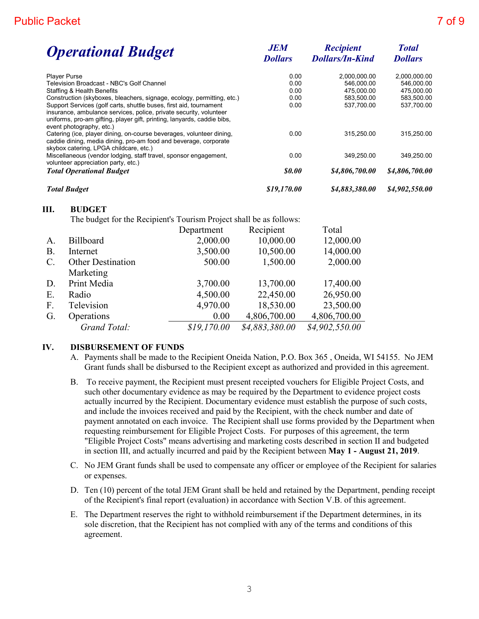| <b>JEM</b><br><b>Dollars</b> | <b>Recipient</b><br><b>Dollars/In-Kind</b> | <b>Total</b><br><b>Dollars</b> |  |
|------------------------------|--------------------------------------------|--------------------------------|--|
| 0.00                         | 2,000,000.00                               | 2,000,000.00                   |  |
| 0.00                         | 546,000.00                                 | 546,000.00                     |  |
| 0.00                         | 475,000.00                                 | 475,000.00                     |  |
| 0.00                         | 583,500.00                                 | 583,500.00                     |  |
| 0.00                         | 537,700.00                                 | 537,700.00                     |  |
| 0.00                         | 315,250.00                                 | 315,250.00                     |  |
| 0.00                         | 349,250.00                                 | 349,250.00                     |  |
| <i><b>so.oo</b></i>          | \$4,806,700.00                             | \$4,806,700.00                 |  |
| \$19,170.00                  | \$4,883,380.00                             | \$4,902,550.00                 |  |
|                              |                                            |                                |  |

#### **III. BUDGET**

The budget for the Recipient's Tourism Project shall be as follows:

|                 |                          | Department  | Recipient      | Total          |
|-----------------|--------------------------|-------------|----------------|----------------|
| A.              | <b>Billboard</b>         | 2,000.00    | 10,000.00      | 12,000.00      |
| $B$ .           | Internet                 | 3,500.00    | 10,500.00      | 14,000.00      |
| $\mathcal{C}$ . | <b>Other Destination</b> | 500.00      | 1,500.00       | 2,000.00       |
|                 | Marketing                |             |                |                |
| D.              | Print Media              | 3,700.00    | 13,700.00      | 17,400.00      |
| Ε.              | Radio                    | 4,500.00    | 22,450.00      | 26,950.00      |
| F.              | Television               | 4,970.00    | 18,530.00      | 23,500.00      |
| G.              | Operations               | 0.00        | 4,806,700.00   | 4,806,700.00   |
|                 | Grand Total:             | \$19,170.00 | \$4,883,380.00 | \$4,902,550.00 |

#### **IV. DISBURSEMENT OF FUNDS**

- A. Payments shall be made to the Recipient Oneida Nation, P.O. Box 365 , Oneida, WI 54155. No JEM Grant funds shall be disbursed to the Recipient except as authorized and provided in this agreement.
- B. To receive payment, the Recipient must present receipted vouchers for Eligible Project Costs, and such other documentary evidence as may be required by the Department to evidence project costs actually incurred by the Recipient. Documentary evidence must establish the purpose of such costs, and include the invoices received and paid by the Recipient, with the check number and date of payment annotated on each invoice. The Recipient shall use forms provided by the Department when requesting reimbursement for Eligible Project Costs. For purposes of this agreement, the term "Eligible Project Costs" means advertising and marketing costs described in section II and budgeted in section III, and actually incurred and paid by the Recipient between **May 1 - August 21, 2019**.
- C. No JEM Grant funds shall be used to compensate any officer or employee of the Recipient for salaries or expenses.
- D. Ten (10) percent of the total JEM Grant shall be held and retained by the Department, pending receipt of the Recipient's final report (evaluation) in accordance with Section V.B. of this agreement.
- E. The Department reserves the right to withhold reimbursement if the Department determines, in its sole discretion, that the Recipient has not complied with any of the terms and conditions of this agreement.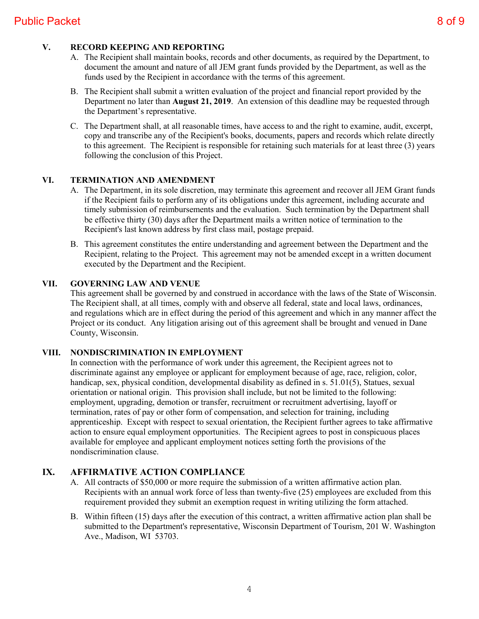### **V. RECORD KEEPING AND REPORTING**

- A. The Recipient shall maintain books, records and other documents, as required by the Department, to document the amount and nature of all JEM grant funds provided by the Department, as well as the funds used by the Recipient in accordance with the terms of this agreement.
- B. The Recipient shall submit a written evaluation of the project and financial report provided by the Department no later than **August 21, 2019**. An extension of this deadline may be requested through the Department's representative.
- C. The Department shall, at all reasonable times, have access to and the right to examine, audit, excerpt, copy and transcribe any of the Recipient's books, documents, papers and records which relate directly to this agreement. The Recipient is responsible for retaining such materials for at least three (3) years following the conclusion of this Project.

#### **VI. TERMINATION AND AMENDMENT**

- A. The Department, in its sole discretion, may terminate this agreement and recover all JEM Grant funds if the Recipient fails to perform any of its obligations under this agreement, including accurate and timely submission of reimbursements and the evaluation. Such termination by the Department shall be effective thirty (30) days after the Department mails a written notice of termination to the Recipient's last known address by first class mail, postage prepaid.
- B. This agreement constitutes the entire understanding and agreement between the Department and the Recipient, relating to the Project. This agreement may not be amended except in a written document executed by the Department and the Recipient.

#### **VII. GOVERNING LAW AND VENUE**

This agreement shall be governed by and construed in accordance with the laws of the State of Wisconsin. The Recipient shall, at all times, comply with and observe all federal, state and local laws, ordinances, and regulations which are in effect during the period of this agreement and which in any manner affect the Project or its conduct. Any litigation arising out of this agreement shall be brought and venued in Dane County, Wisconsin.

#### **VIII. NONDISCRIMINATION IN EMPLOYMENT**

In connection with the performance of work under this agreement, the Recipient agrees not to discriminate against any employee or applicant for employment because of age, race, religion, color, handicap, sex, physical condition, developmental disability as defined in s. 51.01(5), Statues, sexual orientation or national origin. This provision shall include, but not be limited to the following: employment, upgrading, demotion or transfer, recruitment or recruitment advertising, layoff or termination, rates of pay or other form of compensation, and selection for training, including apprenticeship. Except with respect to sexual orientation, the Recipient further agrees to take affirmative action to ensure equal employment opportunities. The Recipient agrees to post in conspicuous places available for employee and applicant employment notices setting forth the provisions of the nondiscrimination clause.

#### **IX. AFFIRMATIVE ACTION COMPLIANCE**

- A. All contracts of \$50,000 or more require the submission of a written affirmative action plan. Recipients with an annual work force of less than twenty-five (25) employees are excluded from this requirement provided they submit an exemption request in writing utilizing the form attached.
- B. Within fifteen (15) days after the execution of this contract, a written affirmative action plan shall be submitted to the Department's representative, Wisconsin Department of Tourism, 201 W. Washington Ave., Madison, WI 53703.